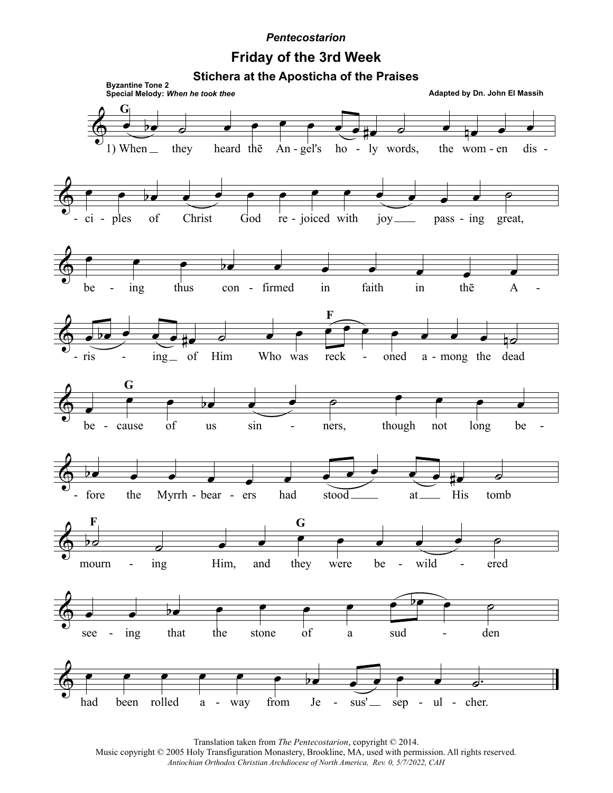## **Pentecostarion**

## **Friday of the 3rd Week**



Translation taken from The Pentecostarion, copyright © 2014.

Music copyright © 2005 Holy Transfiguration Monastery, Brookline, MA, used with permission. All rights reserved. Antiochian Orthodox Christian Archdiocese of North America, Rev. 0, 5/7/2022, CAH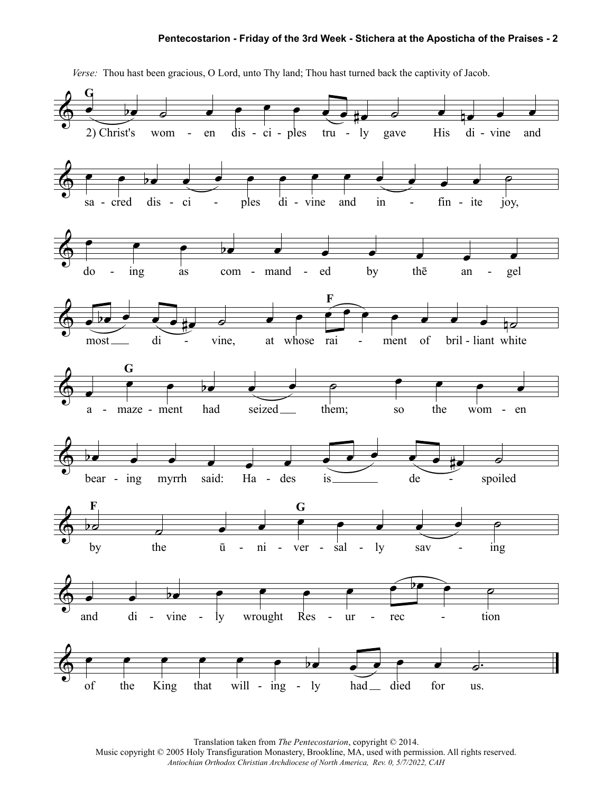## **Pentecostarion - Friday of the 3rd Week - Stichera at the Aposticha of the Praises - 2**



*Verse:* Thou hast been gracious, O Lord, unto Thy land; Thou hast turned back the captivity of Jacob.

Translation taken from *The Pentecostarion*, copyright © 2014.

Music copyright © 2005 Holy Transfiguration Monastery, Brookline, MA, used with permission. All rights reserved. *Antiochian Orthodox Christian Archdiocese of North America, Rev. 0, 5/7/2022, CAH*